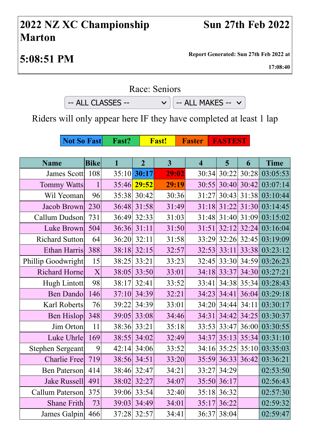## **2022 NZ XC Championship Marton**

**5:08:51 PM Report Generated: Sun 27th Feb 2022 at**

**17:08:40**

Race: Seniors

 $-$  ALL CLASSES  $\vee$   $\Big|$   $-$  ALL MAKES  $\vee$ 

Riders will only appear here IF they have completed at least 1 lap

**Not So Fast** Fast? Fast! Faster FASTEST

| <b>Name</b>             | <b>Bike</b> | $\mathbf{1}$ | $\overline{2}$ | 3     | $\overline{\mathbf{4}}$ | 5                 | 6             | <b>Time</b>                |
|-------------------------|-------------|--------------|----------------|-------|-------------------------|-------------------|---------------|----------------------------|
| James Scott             | 108         | 35:10        | 30:17          | 29:02 | 30:34                   |                   | $30:22$ 30:28 | 03:05:53                   |
| <b>Tommy Watts</b>      | 1           | 35:46        | 29:52          | 29:19 | 30:55                   |                   | $30:40$ 30:42 | 03:07:14                   |
| Wil Yeoman              | 96          | 35:38        | 30:42          | 30:36 | 31:27                   |                   |               | 30:43 31:38 03:10:44       |
| Jacob Brown             | 230         | 36:48        | 31:58          | 31:49 | 31:18                   |                   |               | 31:22 31:30 03:14:45       |
| Callum Dudson           | 731         | 36:49        | 32:33          | 31:03 |                         |                   |               | 31:48 31:40 31:09 03:15:02 |
| Luke Brown              | 504         | 36:36        | 31:11          | 31:50 | 31:51                   |                   | $32:12$ 32:24 | 03:16:04                   |
| <b>Richard Sutton</b>   | 64          | 36:20        | 32:11          | 31:58 | 33:29                   |                   | $32:26$ 32:45 | 03:19:09                   |
| Ethan Harris            | 388         | 38:18        | 32:15          | 32:57 | 32:53                   | 33:11             | 33:38         | 03:23:12                   |
| Phillip Goodwright      | 15          | 38:25        | 33:21          | 33:23 |                         |                   |               | 32:45 33:30 34:59 03:26:23 |
| <b>Richard Horne</b>    | X           | 38:05        | 33:50          | 33:01 | 34:18                   | 33:37             | 34:30         | 03:27:21                   |
| Hugh Lintott            | 98          | 38:17        | 32:41          | 33:52 | 33:41                   |                   | 34:38 35:34   | 03:28:43                   |
| <b>Ben Dando</b>        | 146         | 37:10        | 34:39          | 32:21 | 34:23                   | 34:41             | 36:04         | 03:29:18                   |
| Karl Roberts            | 76          | 39:22        | 34:39          | 33:01 | 34:20                   |                   | 34:44 34:11   | 03:30:17                   |
| <b>Ben Hislop</b>       | 348         | 39:05        | 33:08          | 34:46 | 34:31                   | 34:42             | 34:25         | 03:30:37                   |
| Jim Orton               | 11          | 38:36        | 33:21          | 35:18 | 33:53                   | 33:47             | 36:00         | 03:30:55                   |
| Luke Uhrle              | 169         | 38:55        | 34:02          | 32:49 | 34:37                   |                   | $35:13$ 35:34 | 03:31:10                   |
| <b>Stephen Sergeant</b> | 9           | 42:14        | 34:06          | 33:52 | 34:16                   |                   | $35:25$ 35:10 | 03:35:03                   |
| <b>Charlie Free</b>     | 719         | 38:56        | 34:51          | 33:20 |                         | 35:59 36:33 36:42 |               | 03:36:21                   |
| <b>Ben Paterson</b>     | 414         | 38:46        | 32:47          | 34:21 | 33:27                   | 34:29             |               | 02:53:50                   |
| <b>Jake Russell</b>     | 491         | 38:02        | 32:27          | 34:07 | 35:50                   | 36:17             |               | 02:56:43                   |
| Callum Paterson         | 375         | 39:06        | 33:54          | 32:40 | 35:18                   | 36:32             |               | 02:57:30                   |
| <b>Shane Frith</b>      | 73          | 39:03        | 34:49          | 34:01 | 35:17                   | 36:22             |               | 02:59:32                   |
| James Galpin            | 466         | 37:28        | 32:57          | 34:41 | 36:37                   | 38:04             |               | 02:59:47                   |